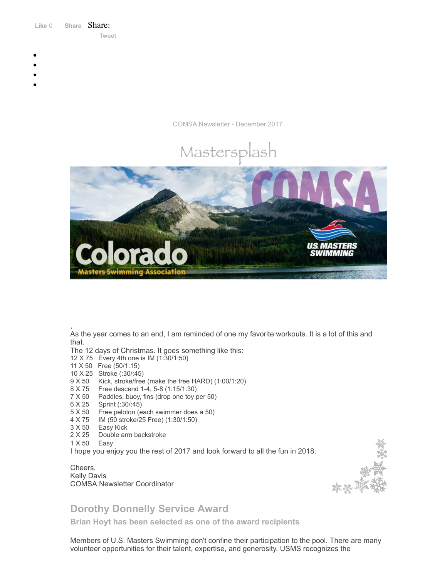Like 0 **[Share](https://www.facebook.com/sharer/sharer.php?u=https%3A%2F%2Fmyemail.constantcontact.com%2FCOMSA-Newsletter--December-2017.html%3Fsoid%3D1108936408185%26aid%3DBE2wj1haefQ&display=popup&ref=plugin&src=like&kid_directed_site=0&app_id=120295828008556)** Share: [Tweet](https://twitter.com/intent/tweet?original_referer=https%3A%2F%2Fmyemail.constantcontact.com%2FCOMSA-Newsletter--December-2017.html%3Fsoid%3D1108936408185%26aid%3DBE2wj1haefQ&ref_src=twsrc%5Etfw&text=COMSA%20Newsletter%20-December%202017&tw_p=tweetbutton&url=https%3A%2F%2Fmyemail.constantcontact.com%2FCOMSA-Newsletter--December-2017.html%3Fsoid%3D1108936408185%26aid%3DBE2wj1haefQ)

- 
- 
- 
- 
- 

COMSA Newsletter - December 2017





, As the year comes to an end, I am reminded of one my favorite workouts. It is a lot of this and that.

The 12 days of Christmas. It goes something like this:

- 12 X 75 Every 4th one is IM (1:30/1:50)
- 11 X 50 Free (50/1:15)
- 10 X 25 Stroke (:30/:45)
- 9 X 50 Kick, stroke/free (make the free HARD) (1:00/1:20)
- 8 X 75 Free descend 1-4, 5-8 (1:15/1:30)
- 7 X 50 Paddles, buoy, fins (drop one toy per 50)
- 6 X 25 Sprint (:30/:45)
- 5 X 50 Free peloton (each swimmer does a 50)
- 4 X 75 IM (50 stroke/25 Free) (1:30/1:50)
- 3 X 50 Easy Kick
- 2 X 25 Double arm backstroke
- 1 X 50 Easy

I hope you enjoy you the rest of 2017 and look forward to all the fun in 2018.

### Cheers, Kelly Davis COMSA Newsletter Coordinator



# **Dorothy Donnelly Service Award**

**Brian Hoyt has been selected as one of the award recipients**

Members of U.S. Masters Swimming don't confine their participation to the pool. There are many volunteer opportunities for their talent, expertise, and generosity. USMS recognizes the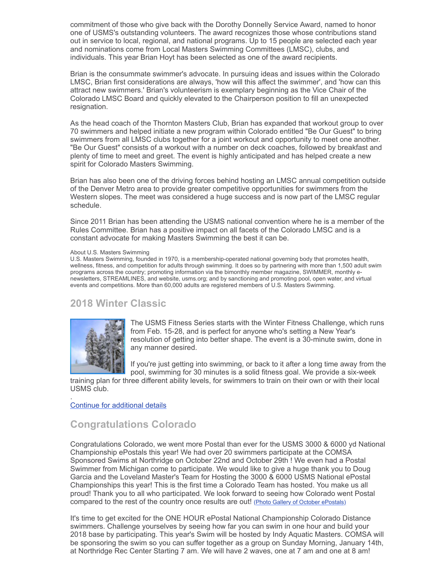commitment of those who give back with the Dorothy Donnelly Service Award, named to honor one of USMS's outstanding volunteers. The award recognizes those whose contributions stand out in service to local, regional, and national programs. Up to 15 people are selected each year and nominations come from Local Masters Swimming Committees (LMSC), clubs, and individuals. This year Brian Hoyt has been selected as one of the award recipients.

Brian is the consummate swimmer's advocate. In pursuing ideas and issues within the Colorado LMSC, Brian first considerations are always, 'how will this affect the swimmer', and 'how can this attract new swimmers.' Brian's volunteerism is exemplary beginning as the Vice Chair of the Colorado LMSC Board and quickly elevated to the Chairperson position to fill an unexpected resignation.

As the head coach of the Thornton Masters Club, Brian has expanded that workout group to over 70 swimmers and helped initiate a new program within Colorado entitled "Be Our Guest" to bring swimmers from all LMSC clubs together for a joint workout and opportunity to meet one another. "Be Our Guest" consists of a workout with a number on deck coaches, followed by breakfast and plenty of time to meet and greet. The event is highly anticipated and has helped create a new spirit for Colorado Masters Swimming.

Brian has also been one of the driving forces behind hosting an LMSC annual competition outside of the Denver Metro area to provide greater competitive opportunities for swimmers from the Western slopes. The meet was considered a huge success and is now part of the LMSC regular schedule.

Since 2011 Brian has been attending the USMS national convention where he is a member of the Rules Committee. Brian has a positive impact on all facets of the Colorado LMSC and is a constant advocate for making Masters Swimming the best it can be.

#### About U.S. Masters Swimming

U.S. Masters Swimming, founded in 1970, is a membership-operated national governing body that promotes health, wellness, fitness, and competition for adults through swimming. It does so by partnering with more than 1,500 adult swim programs across the country; promoting information via the bimonthly member magazine, SWIMMER, monthly enewsletters, STREAMLINES, and website, usms.org; and by sanctioning and promoting pool, open water, and virtual events and competitions. More than 60,000 adults are registered members of U.S. Masters Swimming.

## **2018 Winter Classic**



The USMS Fitness Series starts with the Winter Fitness Challenge, which runs from Feb. 15-28, and is perfect for anyone who's setting a New Year's resolution of getting into better shape. The event is a 30-minute swim, done in any manner desired.

If you're just getting into swimming, or back to it after a long time away from the pool, swimming for 30 minutes is a solid fitness goal. We provide a six-week

training plan for three different ability levels, for swimmers to train on their own or with their local USMS club. .

Continue for [additional](http://www.usms.org/content/wfc) details

## **Congratulations Colorado**

Congratulations Colorado, we went more Postal than ever for the USMS 3000 & 6000 yd National Championship ePostals this year! We had over 20 swimmers participate at the COMSA Sponsored Swims at Northridge on October 22nd and October 29th ! We even had a Postal Swimmer from Michigan come to participate. We would like to give a huge thank you to Doug Garcia and the Loveland Master's Team for Hosting the 3000 & 6000 USMS National ePostal Championships this year! This is the first time a Colorado Team has hosted. You make us all proud! Thank you to all who participated. We look forward to seeing how Colorado went Postal compared to the rest of the country once results are out! (Photo Gallery of October [ePostals\)](http://comsa.org/events/2017/ePostal/2017_ePostal_Fall_Gallery.html)

It's time to get excited for the ONE HOUR ePostal National Championship Colorado Distance swimmers. Challenge yourselves by seeing how far you can swim in one hour and build your 2018 base by participating. This year's Swim will be hosted by Indy Aquatic Masters. COMSA will be sponsoring the swim so you can suffer together as a group on Sunday Morning, January 14th, at Northridge Rec Center Starting 7 am. We will have 2 waves, one at 7 am and one at 8 am!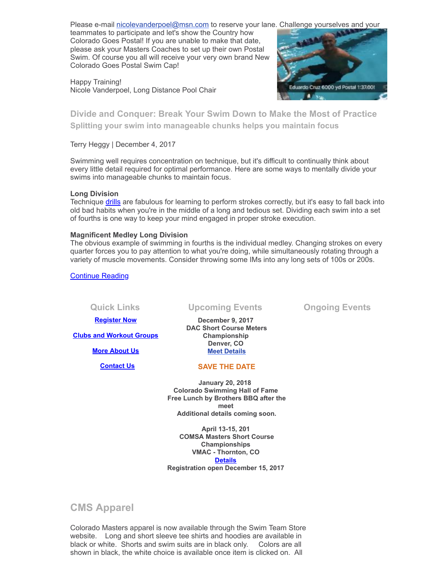Please e-mail [nicolevanderpoel@msn.com](mailto:nicolevanderpoel@msn.com) to reserve your lane. Challenge yourselves and your

teammates to participate and let's show the Country how Colorado Goes Postal! If you are unable to make that date, please ask your Masters Coaches to set up their own Postal Swim. Of course you all will receive your very own brand New Colorado Goes Postal Swim Cap!

Happy Training! Nicole Vanderpoel, Long Distance Pool Chair



**Divide and Conquer: Break Your Swim Down to Make the Most of Practice Splitting your swim into manageable chunks helps you maintain focus**

Terry Heggy | December 4, 2017

Swimming well requires concentration on technique, but it's difficult to continually think about every little detail required for optimal performance. Here are some ways to mentally divide your swims into manageable chunks to maintain focus.

#### **Long Division**

Technique [drills](http://www.usms.org/articles/articledisplay.php?aid=3151) are fabulous for learning to perform strokes correctly, but it's easy to fall back into old bad habits when you're in the middle of a long and tedious set. Dividing each swim into a set of fourths is one way to keep your mind engaged in proper stroke execution.

#### **Magnificent Medley Long Division**

The obvious example of swimming in fourths is the individual medley. Changing strokes on every quarter forces you to pay attention to what you're doing, while simultaneously rotating through a variety of muscle movements. Consider throwing some IMs into any long sets of 100s or 200s.

[Continue](http://www.usms.org/articles/articledisplay.php?aid=3391) Reading

**Quick Links Upcoming Events Ongoing Events December 9, 2017**

> **DAC Short Course Meters Championship Denver, CO [Meet Details](https://www.clubassistant.com/club/meet_information.cfm?c=2378&smid=9659)**

**[Register Now](http://comsa.org/joining/index.html)**

**[Clubs and Workout Groups](http://comsa.org/clubs/index.html)**

**[More About Us](http://comsa.org/)**

 **[Contact Us](mailto:swimkdavis@gmail.com)**

### **SAVE THE DATE**

**January 20, 2018 Colorado Swimming Hall of Fame Free Lunch by Brothers BBQ after the meet Additional details coming soon.**

**April 13-15, 201 COMSA Masters Short Course Championships VMAC - Thornton, CO [Details](https://www.clubassistant.com/club/meet_information.cfm?c=1279&smid=9661) Registration open December 15, 2017**

**CMS Apparel**

Colorado Masters apparel is now available through the Swim Team Store website. Long and short sleeve tee shirts and hoodies are available in black or white. Shorts and swim suits are in black only. Colors are all shown in black, the white choice is available once item is clicked on. All